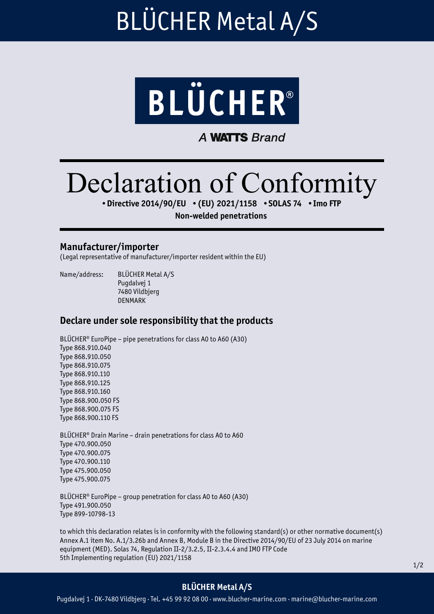### BLÜCHER Metal A/S



**A WATTS Brand** 

# Declaration of Conformity

•Directive 2014/90/EU •(EU) 2021/1158 •SOLAS 74 •Imo FTP

Non-welded penetrations

#### Manufacturer/importer

(Legal representative of manufacturer/importer resident within the EU)

Name/address: BLÜCHER Metal A/S

Pugdalvej 1 7480 Vildbjerg DENMARK

### Declare under sole responsibility that the products

BLÜCHER® EuroPipe – pipe penetrations for class A0 to A60 (A30) Type 868.910.040 Type 868.910.050 Type 868.910.075 Type 868.910.110 Type 868.910.125 Type 868.910.160 Type 868.900.050 FS Type 868.900.075 FS Type 868.900.110 FS

BLÜCHER® Drain Marine – drain penetrations for class A0 to A60 Type 470.900.050 Type 470.900.075 Type 470.900.110 Type 475.900.050 Type 475.900.075

BLÜCHER® EuroPipe – group penetration for class A0 to A60 (A30) Type 491.900.050 Type 899-10798-13

to which this declaration relates is in conformity with the following standard(s) or other normative document(s) Annex A.1 item No. A.1/3.26b and Annex B, Module B in the Directive 2014/90/EU of 23 July 2014 on marine equipment (MED). Solas 74, Regulation II-2/3.2.5, II-2.3.4.4 and IMO FTP Code 5th Implementing regulation (EU) 2021/1158

### BLÜCHER Metal A/S

Pugdalvej 1 · DK-7480 Vildbjerg · Tel. +45 99 92 08 00 · www.blucher-marine.com · marine@blucher-marine.com